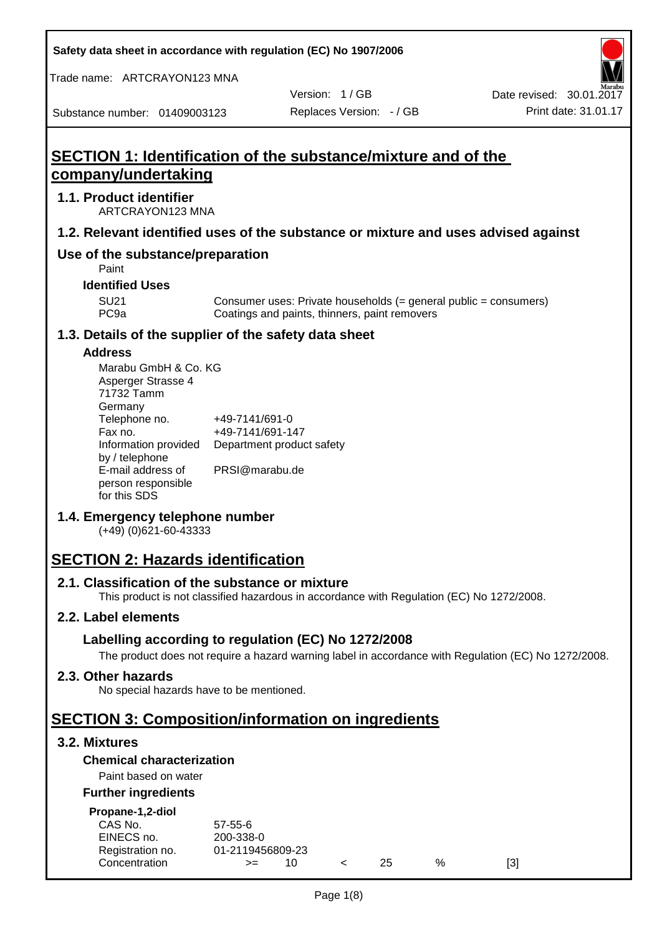**Safety data sheet in accordance with regulation (EC) No 1907/2006**

Trade name: ARTCRAYON123 MNA

Substance number: 01409003123

Version: 1 / GB

# **SECTION 1: Identification of the substance/mixture and of the company/undertaking**

## **1.1. Product identifier**

ARTCRAYON123 MNA

## **1.2. Relevant identified uses of the substance or mixture and uses advised against**

# **Use of the substance/preparation**

Paint

**Identified Uses**

SU21 Consumer uses: Private households (= general public = consumers)<br>PC9a Coatings and paints, thinners, paint removers Coatings and paints, thinners, paint removers

#### **1.3. Details of the supplier of the safety data sheet**

#### **Address**

| Marabu GmbH & Co. KG |                           |
|----------------------|---------------------------|
| Asperger Strasse 4   |                           |
| 71732 Tamm           |                           |
| Germany              |                           |
| Telephone no.        | +49-7141/691-0            |
| Fax no.              | +49-7141/691-147          |
| Information provided | Department product safety |
| by / telephone       |                           |
| E-mail address of    | PRSI@marabu.de            |
| person responsible   |                           |
| for this SDS         |                           |

## **1.4. Emergency telephone number**

(+49) (0)621-60-43333

# **SECTION 2: Hazards identification**

#### **2.1. Classification of the substance or mixture**

This product is not classified hazardous in accordance with Regulation (EC) No 1272/2008.

## **2.2. Label elements**

## **Labelling according to regulation (EC) No 1272/2008**

The product does not require a hazard warning label in accordance with Regulation (EC) No 1272/2008.

#### **2.3. Other hazards**

No special hazards have to be mentioned.

# **SECTION 3: Composition/information on ingredients**

## **3.2. Mixtures**

## **Chemical characterization**

## Paint based on water

#### **Further ingredients**

| Propane-1,2-diol |  |
|------------------|--|
|                  |  |

| CAS No.          | $57-55-6$        |  |    |   |     |
|------------------|------------------|--|----|---|-----|
| EINECS no.       | 200-338-0        |  |    |   |     |
| Registration no. | 01-2119456809-23 |  |    |   |     |
| Concentration    | $>=$             |  | 25 | % | [3] |
|                  |                  |  |    |   |     |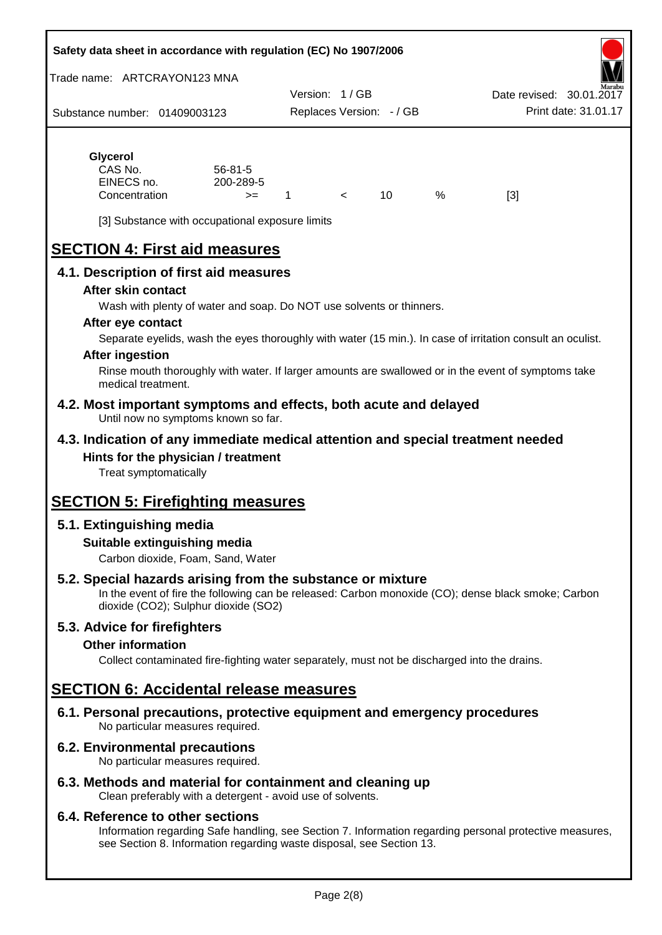#### **Safety data sheet in accordance with regulation (EC) No 1907/2006**

Trade name: ARTCRAYON123 MNA

Substance number: 01409003123 Version: 1 / GB Replaces Version: - / GB Print date: 31.01.17 Date revised: 30.01.2

# **Glycerol**

| $56 - 81 - 5$ |  |     |   |     |
|---------------|--|-----|---|-----|
| 200-289-5     |  |     |   |     |
| $>=$          |  | 10. | % | [3] |
|               |  |     |   |     |

[3] Substance with occupational exposure limits

# **SECTION 4: First aid measures**

## **4.1. Description of first aid measures**

#### **After skin contact**

Wash with plenty of water and soap. Do NOT use solvents or thinners.

#### **After eye contact**

Separate eyelids, wash the eyes thoroughly with water (15 min.). In case of irritation consult an oculist.

#### **After ingestion**

Rinse mouth thoroughly with water. If larger amounts are swallowed or in the event of symptoms take medical treatment.

#### **4.2. Most important symptoms and effects, both acute and delayed** Until now no symptoms known so far.

## **4.3. Indication of any immediate medical attention and special treatment needed Hints for the physician / treatment**

Treat symptomatically

# **SECTION 5: Firefighting measures**

# **5.1. Extinguishing media**

## **Suitable extinguishing media**

Carbon dioxide, Foam, Sand, Water

# **5.2. Special hazards arising from the substance or mixture**

In the event of fire the following can be released: Carbon monoxide (CO); dense black smoke; Carbon dioxide (CO2); Sulphur dioxide (SO2)

## **5.3. Advice for firefighters**

#### **Other information**

Collect contaminated fire-fighting water separately, must not be discharged into the drains.

# **SECTION 6: Accidental release measures**

**6.1. Personal precautions, protective equipment and emergency procedures** No particular measures required.

## **6.2. Environmental precautions**

No particular measures required.

## **6.3. Methods and material for containment and cleaning up**

Clean preferably with a detergent - avoid use of solvents.

#### **6.4. Reference to other sections**

Information regarding Safe handling, see Section 7. Information regarding personal protective measures, see Section 8. Information regarding waste disposal, see Section 13.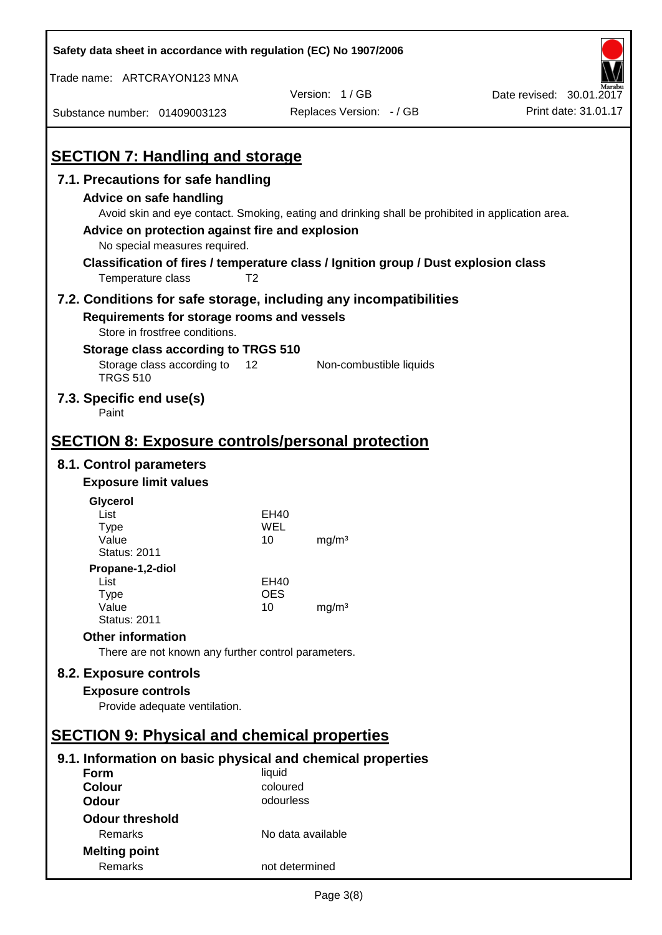| Safety data sheet in accordance with regulation (EC) No 1907/2006                                                                                                                                                       |                   |                                                                                                   |                          |
|-------------------------------------------------------------------------------------------------------------------------------------------------------------------------------------------------------------------------|-------------------|---------------------------------------------------------------------------------------------------|--------------------------|
| Trade name: ARTCRAYON123 MNA                                                                                                                                                                                            |                   |                                                                                                   |                          |
|                                                                                                                                                                                                                         |                   | Version: 1/GB                                                                                     | Date revised: 30.01.2017 |
| Substance number: 01409003123                                                                                                                                                                                           |                   | Replaces Version: - / GB                                                                          | Print date: 31.01.17     |
| <b>SECTION 7: Handling and storage</b>                                                                                                                                                                                  |                   |                                                                                                   |                          |
| 7.1. Precautions for safe handling                                                                                                                                                                                      |                   |                                                                                                   |                          |
| Advice on safe handling<br>Advice on protection against fire and explosion<br>No special measures required.<br>Classification of fires / temperature class / Ignition group / Dust explosion class<br>Temperature class | T <sub>2</sub>    | Avoid skin and eye contact. Smoking, eating and drinking shall be prohibited in application area. |                          |
| 7.2. Conditions for safe storage, including any incompatibilities<br>Requirements for storage rooms and vessels                                                                                                         |                   |                                                                                                   |                          |
| Store in frostfree conditions.                                                                                                                                                                                          |                   |                                                                                                   |                          |
| Storage class according to TRGS 510<br>Storage class according to<br><b>TRGS 510</b>                                                                                                                                    | 12                | Non-combustible liquids                                                                           |                          |
| 7.3. Specific end use(s)<br>Paint                                                                                                                                                                                       |                   |                                                                                                   |                          |
| <b>SECTION 8: Exposure controls/personal protection</b>                                                                                                                                                                 |                   |                                                                                                   |                          |
| 8.1. Control parameters                                                                                                                                                                                                 |                   |                                                                                                   |                          |
| <b>Exposure limit values</b>                                                                                                                                                                                            |                   |                                                                                                   |                          |
| Glycerol                                                                                                                                                                                                                |                   |                                                                                                   |                          |
| List                                                                                                                                                                                                                    | EH40              |                                                                                                   |                          |
| Type                                                                                                                                                                                                                    | WEL               |                                                                                                   |                          |
| Value<br><b>Status: 2011</b>                                                                                                                                                                                            | 10                | mg/m <sup>3</sup>                                                                                 |                          |
| Propane-1,2-diol                                                                                                                                                                                                        |                   |                                                                                                   |                          |
| List                                                                                                                                                                                                                    | EH40              |                                                                                                   |                          |
| <b>Type</b>                                                                                                                                                                                                             | <b>OES</b>        |                                                                                                   |                          |
| Value<br><b>Status: 2011</b>                                                                                                                                                                                            | 10                | mg/m <sup>3</sup>                                                                                 |                          |
| <b>Other information</b>                                                                                                                                                                                                |                   |                                                                                                   |                          |
| There are not known any further control parameters.                                                                                                                                                                     |                   |                                                                                                   |                          |
| 8.2. Exposure controls                                                                                                                                                                                                  |                   |                                                                                                   |                          |
| <b>Exposure controls</b>                                                                                                                                                                                                |                   |                                                                                                   |                          |
| Provide adequate ventilation.                                                                                                                                                                                           |                   |                                                                                                   |                          |
|                                                                                                                                                                                                                         |                   |                                                                                                   |                          |
| <b>SECTION 9: Physical and chemical properties</b>                                                                                                                                                                      |                   |                                                                                                   |                          |
| 9.1. Information on basic physical and chemical properties                                                                                                                                                              |                   |                                                                                                   |                          |
| Form                                                                                                                                                                                                                    | liquid            |                                                                                                   |                          |
| <b>Colour</b>                                                                                                                                                                                                           | coloured          |                                                                                                   |                          |
| <b>Odour</b>                                                                                                                                                                                                            | odourless         |                                                                                                   |                          |
| <b>Odour threshold</b>                                                                                                                                                                                                  |                   |                                                                                                   |                          |
| Remarks                                                                                                                                                                                                                 | No data available |                                                                                                   |                          |
| <b>Melting point</b><br>Remarks                                                                                                                                                                                         | not determined    |                                                                                                   |                          |
|                                                                                                                                                                                                                         |                   |                                                                                                   |                          |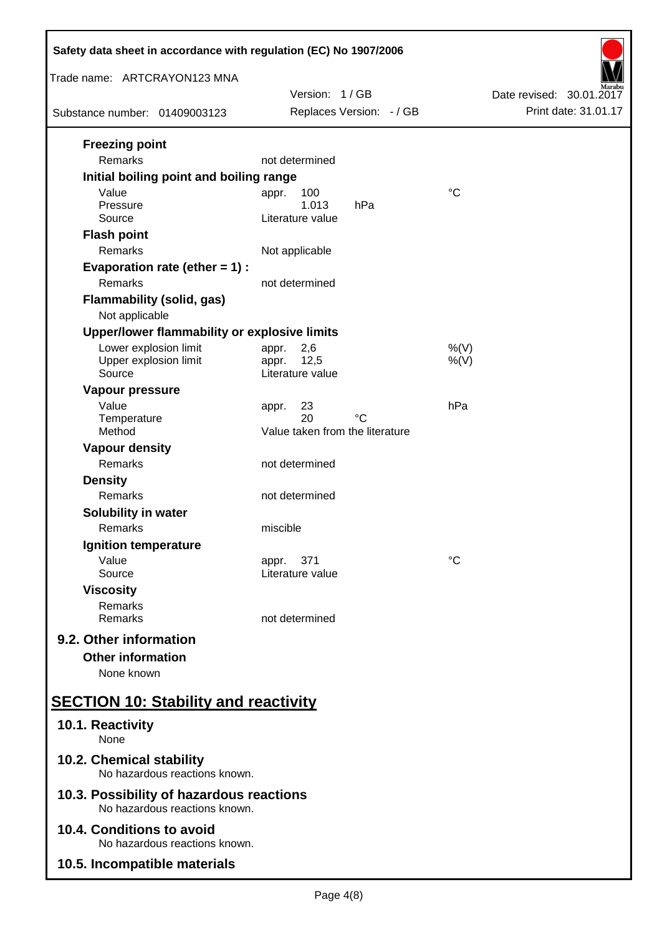| Safety data sheet in accordance with regulation (EC) No 1907/2006         |                                   |                          |
|---------------------------------------------------------------------------|-----------------------------------|--------------------------|
| Trade name: ARTCRAYON123 MNA                                              | Version: 1/GB                     | Date revised: 30.01.2017 |
| Substance number: 01409003123                                             | Replaces Version: - / GB          | Print date: 31.01.17     |
| <b>Freezing point</b>                                                     |                                   |                          |
| Remarks                                                                   | not determined                    |                          |
| Initial boiling point and boiling range                                   |                                   |                          |
| Value<br>Pressure                                                         | 100<br>appr.<br>1.013<br>hPa      | $^{\circ}C$              |
| Source                                                                    | Literature value                  |                          |
| <b>Flash point</b>                                                        |                                   |                          |
| Remarks                                                                   | Not applicable                    |                          |
| Evaporation rate (ether $= 1$ ) :                                         |                                   |                          |
| <b>Remarks</b>                                                            | not determined                    |                          |
| <b>Flammability (solid, gas)</b><br>Not applicable                        |                                   |                          |
| Upper/lower flammability or explosive limits                              |                                   |                          |
| Lower explosion limit                                                     | 2,6<br>appr.                      | $%$ (V)                  |
| Upper explosion limit<br>Source                                           | 12,5<br>appr.<br>Literature value | $%$ (V)                  |
| Vapour pressure                                                           |                                   |                          |
| Value<br>Temperature                                                      | 23<br>appr.<br>20<br>°C           | hPa                      |
| Method                                                                    | Value taken from the literature   |                          |
| <b>Vapour density</b>                                                     |                                   |                          |
| Remarks                                                                   | not determined                    |                          |
| <b>Density</b>                                                            |                                   |                          |
| <b>Remarks</b>                                                            | not determined                    |                          |
| <b>Solubility in water</b>                                                |                                   |                          |
| Remarks                                                                   | miscible                          |                          |
| Ignition temperature                                                      |                                   |                          |
| Value<br>Source                                                           | 371<br>appr.<br>Literature value  | $^{\circ}C$              |
| <b>Viscosity</b>                                                          |                                   |                          |
| Remarks                                                                   |                                   |                          |
| Remarks                                                                   | not determined                    |                          |
| 9.2. Other information                                                    |                                   |                          |
| <b>Other information</b>                                                  |                                   |                          |
| None known                                                                |                                   |                          |
| <b>SECTION 10: Stability and reactivity</b>                               |                                   |                          |
| 10.1. Reactivity<br>None                                                  |                                   |                          |
| 10.2. Chemical stability<br>No hazardous reactions known.                 |                                   |                          |
| 10.3. Possibility of hazardous reactions<br>No hazardous reactions known. |                                   |                          |
| 10.4. Conditions to avoid<br>No hazardous reactions known.                |                                   |                          |
| 10.5. Incompatible materials                                              |                                   |                          |
|                                                                           |                                   |                          |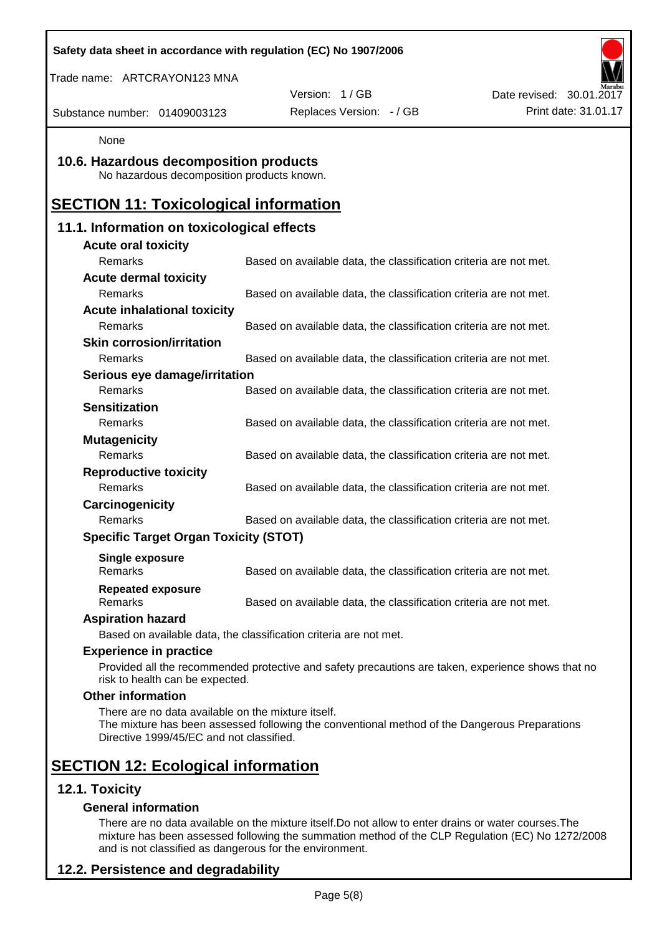| Safety data sheet in accordance with regulation (EC) No 1907/2006                              |                                                                                                    |                          |
|------------------------------------------------------------------------------------------------|----------------------------------------------------------------------------------------------------|--------------------------|
| Trade name: ARTCRAYON123 MNA                                                                   |                                                                                                    |                          |
|                                                                                                | Version: 1/GB                                                                                      | Date revised: 30.01.2017 |
| Substance number: 01409003123                                                                  | Replaces Version: - / GB                                                                           | Print date: 31.01.17     |
| None                                                                                           |                                                                                                    |                          |
| 10.6. Hazardous decomposition products<br>No hazardous decomposition products known.           |                                                                                                    |                          |
| <b>SECTION 11: Toxicological information</b>                                                   |                                                                                                    |                          |
| 11.1. Information on toxicological effects                                                     |                                                                                                    |                          |
| <b>Acute oral toxicity</b>                                                                     |                                                                                                    |                          |
| Remarks                                                                                        | Based on available data, the classification criteria are not met.                                  |                          |
| <b>Acute dermal toxicity</b>                                                                   |                                                                                                    |                          |
| Remarks                                                                                        | Based on available data, the classification criteria are not met.                                  |                          |
| <b>Acute inhalational toxicity</b>                                                             |                                                                                                    |                          |
| Remarks                                                                                        | Based on available data, the classification criteria are not met.                                  |                          |
| <b>Skin corrosion/irritation</b>                                                               |                                                                                                    |                          |
| Remarks                                                                                        | Based on available data, the classification criteria are not met.                                  |                          |
| Serious eye damage/irritation<br>Remarks                                                       |                                                                                                    |                          |
| <b>Sensitization</b>                                                                           | Based on available data, the classification criteria are not met.                                  |                          |
| Remarks                                                                                        | Based on available data, the classification criteria are not met.                                  |                          |
| <b>Mutagenicity</b>                                                                            |                                                                                                    |                          |
| Remarks                                                                                        | Based on available data, the classification criteria are not met.                                  |                          |
| <b>Reproductive toxicity</b>                                                                   |                                                                                                    |                          |
| Remarks                                                                                        | Based on available data, the classification criteria are not met.                                  |                          |
| Carcinogenicity                                                                                |                                                                                                    |                          |
| Remarks                                                                                        | Based on available data, the classification criteria are not met.                                  |                          |
| <b>Specific Target Organ Toxicity (STOT)</b>                                                   |                                                                                                    |                          |
|                                                                                                |                                                                                                    |                          |
| <b>Single exposure</b><br>Remarks                                                              | Based on available data, the classification criteria are not met.                                  |                          |
| <b>Repeated exposure</b>                                                                       |                                                                                                    |                          |
| Remarks                                                                                        | Based on available data, the classification criteria are not met.                                  |                          |
| <b>Aspiration hazard</b>                                                                       |                                                                                                    |                          |
|                                                                                                | Based on available data, the classification criteria are not met.                                  |                          |
| <b>Experience in practice</b>                                                                  |                                                                                                    |                          |
| risk to health can be expected.                                                                | Provided all the recommended protective and safety precautions are taken, experience shows that no |                          |
| <b>Other information</b>                                                                       |                                                                                                    |                          |
| There are no data available on the mixture itself.<br>Directive 1999/45/EC and not classified. | The mixture has been assessed following the conventional method of the Dangerous Preparations      |                          |
| <b>SECTION 12: Ecological information</b>                                                      |                                                                                                    |                          |
| 12.1. Toxicity                                                                                 |                                                                                                    |                          |
| <b>General information</b>                                                                     |                                                                                                    |                          |

There are no data available on the mixture itself.Do not allow to enter drains or water courses.The mixture has been assessed following the summation method of the CLP Regulation (EC) No 1272/2008 and is not classified as dangerous for the environment.

# **12.2. Persistence and degradability**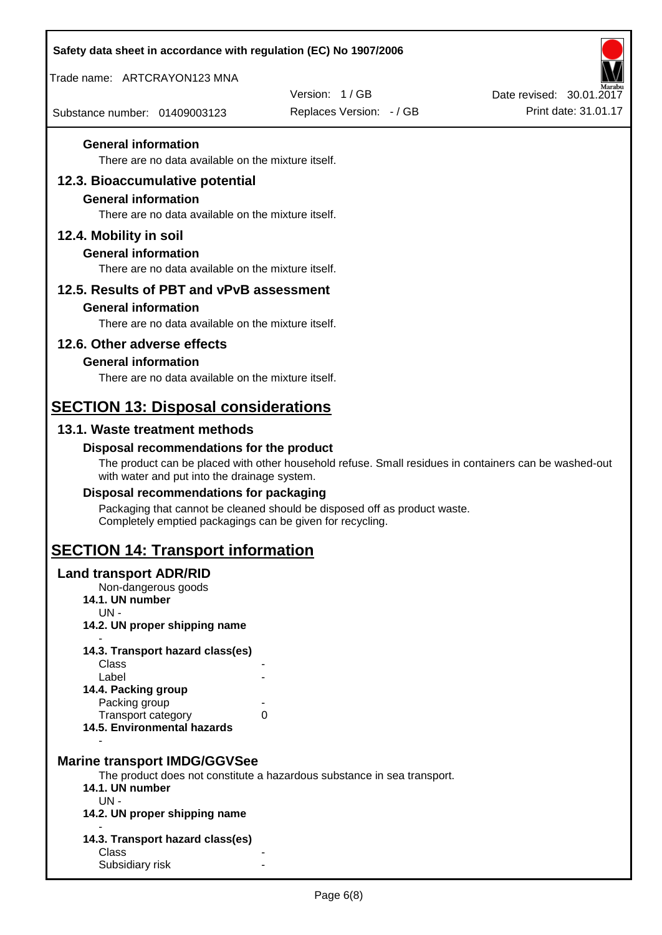| Safety data sheet in accordance with regulation (EC) No 1907/2006                |                                                                                                       |                          |
|----------------------------------------------------------------------------------|-------------------------------------------------------------------------------------------------------|--------------------------|
| Trade name: ARTCRAYON123 MNA                                                     |                                                                                                       |                          |
|                                                                                  | Version: 1/GB                                                                                         | Date revised: 30.01.2017 |
| Substance number: 01409003123                                                    | Replaces Version: - / GB                                                                              | Print date: 31.01.17     |
| <b>General information</b><br>There are no data available on the mixture itself. |                                                                                                       |                          |
|                                                                                  |                                                                                                       |                          |
| 12.3. Bioaccumulative potential<br><b>General information</b>                    |                                                                                                       |                          |
| There are no data available on the mixture itself.                               |                                                                                                       |                          |
| 12.4. Mobility in soil                                                           |                                                                                                       |                          |
| <b>General information</b>                                                       |                                                                                                       |                          |
| There are no data available on the mixture itself.                               |                                                                                                       |                          |
| 12.5. Results of PBT and vPvB assessment                                         |                                                                                                       |                          |
| <b>General information</b>                                                       |                                                                                                       |                          |
| There are no data available on the mixture itself.                               |                                                                                                       |                          |
| 12.6. Other adverse effects                                                      |                                                                                                       |                          |
| <b>General information</b>                                                       |                                                                                                       |                          |
| There are no data available on the mixture itself.                               |                                                                                                       |                          |
| <b>SECTION 13: Disposal considerations</b>                                       |                                                                                                       |                          |
| 13.1. Waste treatment methods                                                    |                                                                                                       |                          |
| Disposal recommendations for the product                                         |                                                                                                       |                          |
| with water and put into the drainage system.                                     | The product can be placed with other household refuse. Small residues in containers can be washed-out |                          |
| Disposal recommendations for packaging                                           |                                                                                                       |                          |
| Completely emptied packagings can be given for recycling.                        | Packaging that cannot be cleaned should be disposed off as product waste.                             |                          |
| <b>SECTION 14: Transport information</b>                                         |                                                                                                       |                          |
| <b>Land transport ADR/RID</b>                                                    |                                                                                                       |                          |
| Non-dangerous goods<br>14.1. UN number                                           |                                                                                                       |                          |
| $UN -$                                                                           |                                                                                                       |                          |
| 14.2. UN proper shipping name                                                    |                                                                                                       |                          |
| 14.3. Transport hazard class(es)                                                 |                                                                                                       |                          |
| Class<br>Label                                                                   |                                                                                                       |                          |
| 14.4. Packing group                                                              |                                                                                                       |                          |
| Packing group<br>Transport category                                              | 0                                                                                                     |                          |
| 14.5. Environmental hazards                                                      |                                                                                                       |                          |
|                                                                                  |                                                                                                       |                          |
| <b>Marine transport IMDG/GGVSee</b>                                              | The product does not constitute a hazardous substance in sea transport.                               |                          |
| 14.1. UN number                                                                  |                                                                                                       |                          |
| $UN -$<br>14.2. UN proper shipping name                                          |                                                                                                       |                          |
|                                                                                  |                                                                                                       |                          |
| 14.3. Transport hazard class(es)<br>Class                                        |                                                                                                       |                          |
| Subsidiary risk                                                                  |                                                                                                       |                          |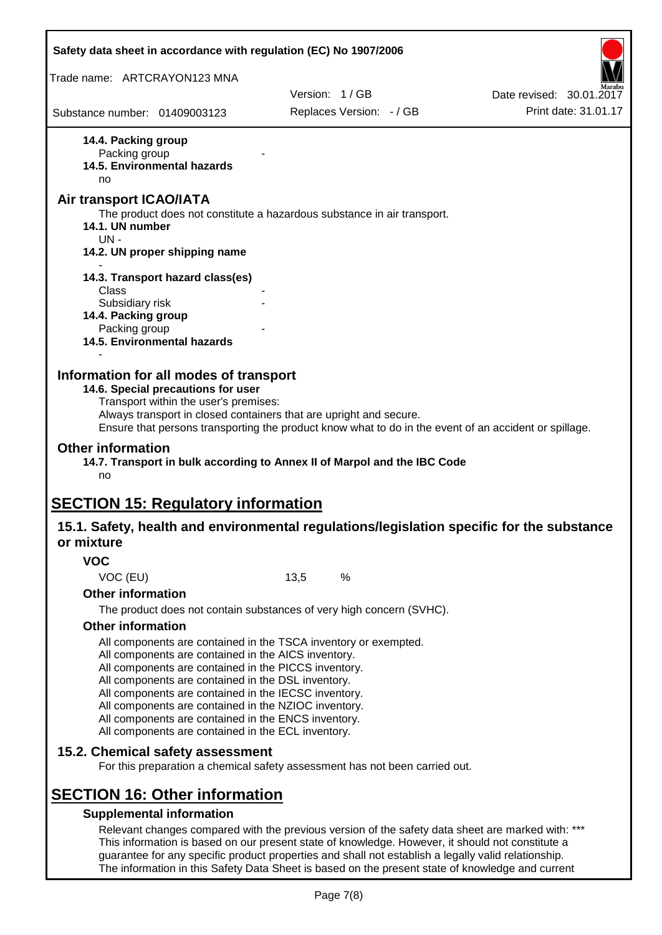| Safety data sheet in accordance with regulation (EC) No 1907/2006                                             |                                                                                                                                                                                                                                                         |                          |
|---------------------------------------------------------------------------------------------------------------|---------------------------------------------------------------------------------------------------------------------------------------------------------------------------------------------------------------------------------------------------------|--------------------------|
| Trade name: ARTCRAYON123 MNA                                                                                  |                                                                                                                                                                                                                                                         |                          |
|                                                                                                               | Version: 1/GB                                                                                                                                                                                                                                           | Date revised: 30.01.2017 |
| Substance number: 01409003123                                                                                 | Replaces Version: - / GB                                                                                                                                                                                                                                | Print date: 31.01.17     |
| 14.4. Packing group<br>Packing group<br>14.5. Environmental hazards<br>no                                     |                                                                                                                                                                                                                                                         |                          |
| Air transport ICAO/IATA                                                                                       |                                                                                                                                                                                                                                                         |                          |
| 14.1. UN number<br>$UN -$                                                                                     | The product does not constitute a hazardous substance in air transport.                                                                                                                                                                                 |                          |
| 14.2. UN proper shipping name                                                                                 |                                                                                                                                                                                                                                                         |                          |
| 14.3. Transport hazard class(es)<br>Class                                                                     |                                                                                                                                                                                                                                                         |                          |
| Subsidiary risk                                                                                               |                                                                                                                                                                                                                                                         |                          |
| 14.4. Packing group                                                                                           |                                                                                                                                                                                                                                                         |                          |
| Packing group<br><b>14.5. Environmental hazards</b>                                                           |                                                                                                                                                                                                                                                         |                          |
|                                                                                                               |                                                                                                                                                                                                                                                         |                          |
| 14.6. Special precautions for user<br>Transport within the user's premises:<br><b>Other information</b><br>no | Always transport in closed containers that are upright and secure.<br>Ensure that persons transporting the product know what to do in the event of an accident or spillage.<br>14.7. Transport in bulk according to Annex II of Marpol and the IBC Code |                          |
|                                                                                                               |                                                                                                                                                                                                                                                         |                          |
| <b>SECTION 15: Regulatory information</b>                                                                     |                                                                                                                                                                                                                                                         |                          |
| or mixture                                                                                                    | 15.1. Safety, health and environmental regulations/legislation specific for the substance                                                                                                                                                               |                          |
| <b>VOC</b>                                                                                                    |                                                                                                                                                                                                                                                         |                          |
| VOC (EU)                                                                                                      | %<br>13,5                                                                                                                                                                                                                                               |                          |
| <b>Other information</b>                                                                                      |                                                                                                                                                                                                                                                         |                          |
|                                                                                                               | The product does not contain substances of very high concern (SVHC).                                                                                                                                                                                    |                          |
| <b>Other information</b>                                                                                      |                                                                                                                                                                                                                                                         |                          |
| All components are contained in the AICS inventory.                                                           | All components are contained in the TSCA inventory or exempted.                                                                                                                                                                                         |                          |
| All components are contained in the PICCS inventory.                                                          |                                                                                                                                                                                                                                                         |                          |
| All components are contained in the DSL inventory.<br>All components are contained in the IECSC inventory.    |                                                                                                                                                                                                                                                         |                          |
| All components are contained in the NZIOC inventory.                                                          |                                                                                                                                                                                                                                                         |                          |
| All components are contained in the ENCS inventory.<br>All components are contained in the ECL inventory.     |                                                                                                                                                                                                                                                         |                          |
|                                                                                                               |                                                                                                                                                                                                                                                         |                          |
| 15.2. Chemical safety assessment                                                                              | For this preparation a chemical safety assessment has not been carried out.                                                                                                                                                                             |                          |
|                                                                                                               |                                                                                                                                                                                                                                                         |                          |
| <b>SECTION 16: Other information</b>                                                                          |                                                                                                                                                                                                                                                         |                          |
| <b>Supplemental information</b>                                                                               | Relevant changes compared with the previous version of the safety data sheet are marked with: ***                                                                                                                                                       |                          |
|                                                                                                               | This information is based on our present state of knowledge. However, it should not constitute a<br>guarantee for any specific product properties and shall not establish a legally valid relationship.                                                 |                          |

Page 7(8)

The information in this Safety Data Sheet is based on the present state of knowledge and current